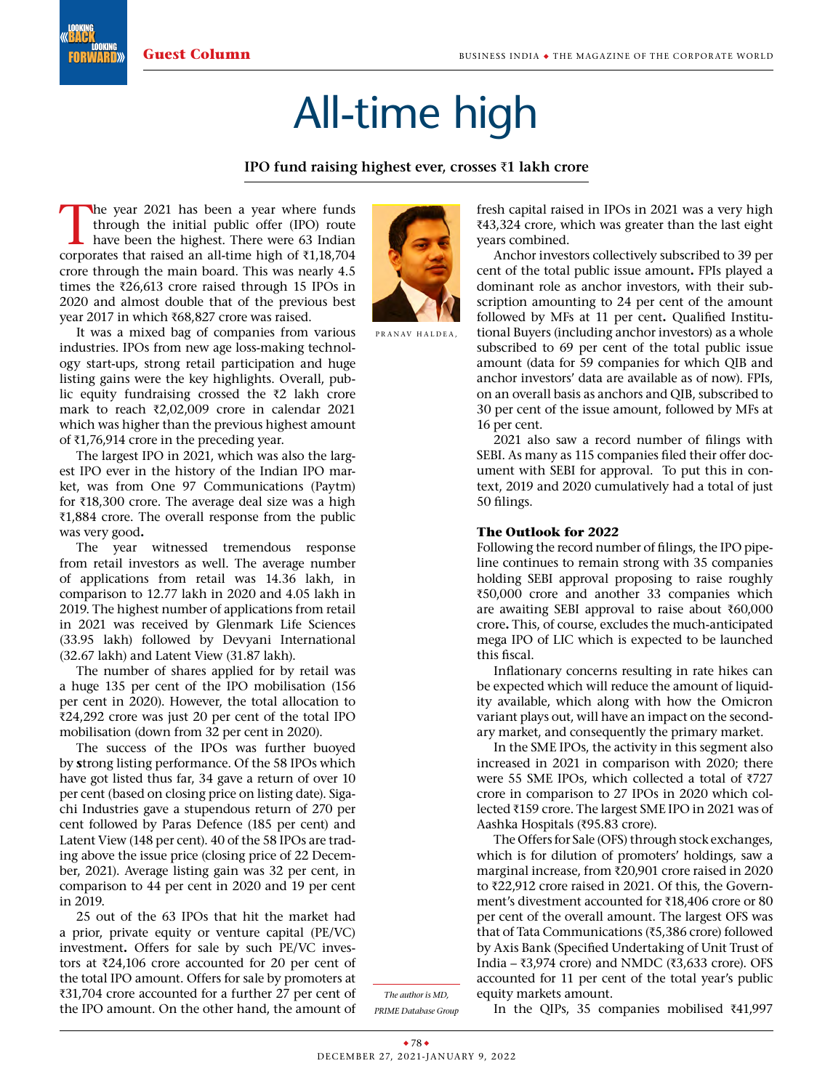LOOKING FORWARD

LOOKING BACK

## All-time high

## **IPO fund raising highest ever, crosses** R**1 lakh crore**

The year 2021 has been a year where funds<br>through the initial public offer (IPO) route<br>have been the highest. There were 63 Indian<br>corporates that raised an all-time high of  $\overline{z}$ 1.18.704 through the initial public offer (IPO) route have been the highest. There were 63 Indian corporates that raised an all-time high of  $\bar{\tau}$ 1,18,704 crore through the main board. This was nearly 4.5 times the  $\bar{\tau}$ 26,613 crore raised through 15 IPOs in 2020 and almost double that of the previous best year 2017 in which ₹68,827 crore was raised.

It was a mixed bag of companies from various industries. IPOs from new age loss-making technology start-ups, strong retail participation and huge listing gains were the key highlights. Overall, public equity fundraising crossed the  $\bar{z}2$  lakh crore mark to reach  $\bar{\tau}2,02,009$  crore in calendar 2021 which was higher than the previous highest amount of  $\bar{x}$ 1,76,914 crore in the preceding year.

The largest IPO in 2021, which was also the largest IPO ever in the history of the Indian IPO market, was from One 97 Communications (Paytm) for  $\bar{x}$ 18,300 crore. The average deal size was a high  $\bar{\chi}$ 1,884 crore. The overall response from the public was very good**.** 

The year witnessed tremendous response from retail investors as well. The average number of applications from retail was 14.36 lakh, in comparison to 12.77 lakh in 2020 and 4.05 lakh in 2019. The highest number of applications from retail in 2021 was received by Glenmark Life Sciences (33.95 lakh) followed by Devyani International (32.67 lakh) and Latent View (31.87 lakh).

The number of shares applied for by retail was a huge 135 per cent of the IPO mobilisation (156 per cent in 2020). However, the total allocation to  $\overline{2}24,292$  crore was just 20 per cent of the total IPO mobilisation (down from 32 per cent in 2020).

The success of the IPOs was further buoyed by **s**trong listing performance. Of the 58 IPOs which have got listed thus far, 34 gave a return of over 10 per cent (based on closing price on listing date). Sigachi Industries gave a stupendous return of 270 per cent followed by Paras Defence (185 per cent) and Latent View (148 per cent). 40 of the 58 IPOs are trading above the issue price (closing price of 22 December, 2021). Average listing gain was 32 per cent, in comparison to 44 per cent in 2020 and 19 per cent in 2019.

25 out of the 63 IPOs that hit the market had a prior, private equity or venture capital (PE/VC) investment**.** Offers for sale by such PE/VC investors at  $\bar{\tau}$ 24,106 crore accounted for 20 per cent of the total IPO amount. Offers for sale by promoters at ₹31,704 crore accounted for a further 27 per cent of the IPO amount. On the other hand, the amount of



PRANAV HALDEA.

fresh capital raised in IPOs in 2021 was a very high ₹43,324 crore, which was greater than the last eight years combined.

Anchor investors collectively subscribed to 39 per cent of the total public issue amount**.** FPIs played a dominant role as anchor investors, with their subscription amounting to 24 per cent of the amount followed by MFs at 11 per cent**.**  Qualified Institutional Buyers (including anchor investors) as a whole subscribed to 69 per cent of the total public issue amount (data for 59 companies for which QIB and anchor investors' data are available as of now). FPIs, on an overall basis as anchors and QIB, subscribed to 30 per cent of the issue amount, followed by MFs at 16 per cent.

2021 also saw a record number of filings with SEBI. As many as 115 companies filed their offer document with SEBI for approval. To put this in context, 2019 and 2020 cumulatively had a total of just 50 filings.

## **The Outlook for 2022**

Following the record number of filings, the IPO pipeline continues to remain strong with 35 companies holding SEBI approval proposing to raise roughly ₹50,000 crore and another 33 companies which are awaiting SEBI approval to raise about  $\bar{\tau}60,000$ crore**.** This, of course, excludes the much-anticipated mega IPO of LIC which is expected to be launched this fiscal.

Inflationary concerns resulting in rate hikes can be expected which will reduce the amount of liquidity available, which along with how the Omicron variant plays out, will have an impact on the secondary market, and consequently the primary market.

In the SME IPOs, the activity in this segment also increased in 2021 in comparison with 2020; there were 55 SME IPOs, which collected a total of  $\overline{7}$ 727 crore in comparison to 27 IPOs in 2020 which collected ₹159 crore. The largest SME IPO in 2021 was of Aashka Hospitals (₹95.83 crore).

The Offers for Sale (OFS) through stock exchanges, which is for dilution of promoters' holdings, saw a marginal increase, from ₹20,901 crore raised in 2020 to ₹22,912 crore raised in 2021. Of this, the Government's divestment accounted for ₹18,406 crore or 80 per cent of the overall amount. The largest OFS was that of Tata Communications ( $\bar{\tau}$ 5,386 crore) followed by Axis Bank (Specified Undertaking of Unit Trust of India –  $\overline{\epsilon}$ 3,974 crore) and NMDC ( $\overline{\epsilon}$ 3,633 crore). OFS accounted for 11 per cent of the total year's public equity markets amount.

*The author is MD, PRIME Database Group*

In the QIPs, 35 companies mobilised  $\bar{x}41,997$